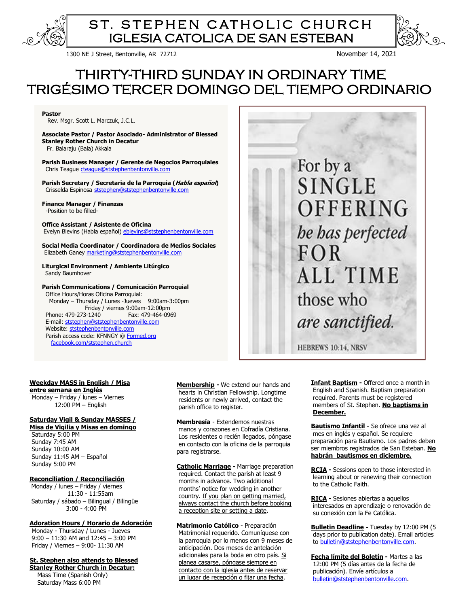

# ST. STEPHEN CATHOLIC CHURCH IGLESIA CATOLICA DE SAN ESTEBAN

1300 NE J Street, Bentonville, AR 72712 November 14, 2021

# THIRTY-THIRD SUNDAY IN ORDINARY TIME TRIGÉSIMO TERCER DOMINGO DEL TIEMPO ORDINARIO

**Pastor** 

Rev. Msgr. Scott L. Marczuk, J.C.L.

**Associate Pastor / Pastor Asociado- Administrator of Blessed Stanley Rother Church in Decatur** Fr. Balaraju (Bala) Akkala

**Parish Business Manager / Gerente de Negocios Parroquiales** Chris Teague [cteague@ststephenbentonville.com](mailto:cteague@ststephenbentonville.com)

**Parish Secretary / Secretaria de la Parroquia (Habla español)** Crisselda Espinosa [ststephen@ststephenbentonville.com](mailto:ststephen@ststephenbentonville.com)

**Finance Manager / Finanzas**  -Position to be filled-

#### **Office Assistant / Asistente de Oficina**

Evelyn Blevins (Habla español) eblevins@ststephenbentonville.com

**Social Media Coordinator / Coordinadora de Medios Sociales** Elizabeth Ganey [marketing@ststephenbentonville.com](mailto:marketing@ststephenbentonville.com)

#### **Liturgical Environment / Ambiente Litúrgico**  Sandy Baumhover

#### **Parish Communications / Comunicación Parroquial**

 Office Hours/Horas Oficina Parroquial: Monday – Thursday / Lunes -Jueves 9:00am-3:00pm Friday / viernes 9:00am-12:00pm Phone: 479-273-1240 Fax: 479-464-0969 E-mail: [ststephen@ststephenbentonville.com](mailto:ststephen@ststephenbentonville.com)  Website: ststephenbentonville.com Parish access code: KFNNGY [@ Formed.org](http://www.formed.org/) [facebook.com/ststephen.church](http://www.facebook.com/ststephen.church)



HEBREWS 10:14, NRSV

#### **Weekday MASS in English / Misa**

**entre semana en Inglés** Monday – Friday / lunes – Viernes 12:00 PM – English

## **Saturday Vigil & Sunday MASSES /**

**Misa de Vigilia y Misas en domingo** Saturday 5:00 PM Sunday 7:45 AM Sunday 10:00 AM Sunday 11:45 AM – Español Sunday 5:00 PM

#### **Reconciliation / Reconciliación**

Monday / lunes – Friday / viernes 11:30 - 11:55am Saturday / sábado – Bilingual / Bilingüe 3:00 - 4:00 PM

### **Adoration Hours / Horario de Adoración**

 Monday - Thursday / Lunes - Jueves 9:00 – 11:30 AM and 12:45 – 3:00 PM Friday / Viernes – 9:00- 11:30 AM

**St. Stephen also attends to Blessed Stanley Rother Church in Decatur:** Mass Time (Spanish Only) Saturday Mass 6:00 PM

 **Membership -** We extend our hands and hearts in Christian Fellowship. Longtime residents or newly arrived, contact the parish office to register.

**Membresía** - Extendemos nuestras manos y corazones en Cofradía Cristiana. Los residentes o recién llegados, póngase en contacto con la oficina de la parroquia para registrarse.

**Catholic Marriage -** Marriage preparation required. Contact the parish at least 9 months in advance. Two additional months' notice for wedding in another country. If you plan on getting married, always contact the church before booking a reception site or setting a date.

**Matrimonio Católico** - Preparación Matrimonial requerido. Comuníquese con la parroquia por lo menos con 9 meses de anticipación. Dos meses de antelación adicionales para la boda en otro país. Si planea casarse, póngase siempre en contacto con la iglesia antes de reservar un lugar de recepción o fijar una fecha.

**Infant Baptism -** Offered once a month in English and Spanish. Baptism preparation required. Parents must be registered members of St. Stephen. **No baptisms in December.**

**Bautismo Infantil -** Se ofrece una vez al mes en inglés y español. Se requiere preparación para Bautismo. Los padres deben ser miembros registrados de San Esteban. **No habrán bautismos en diciembre.**

**RCIA -** Sessions open to those interested in learning about or renewing their connection to the Catholic Faith.

**RICA -** Sesiones abiertas a aquellos interesados en aprendizaje o renovación de su conexión con la Fe Católica.

**Bulletin Deadline -** Tuesday by 12:00 PM (5 days prior to publication date). Email articles to [bulletin@ststephenbentonville.com.](mailto:bulletin@ststephenbentonville.com)

**Fecha límite del Boletín -** Martes a las 12:00 PM (5 días antes de la fecha de publicación). Envíe artículos a [bulletin@ststephenbentonville.com.](mailto:bulletin@ststephenbentonville.com)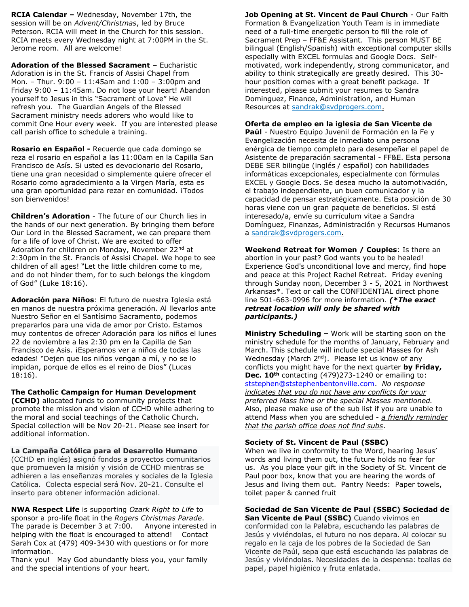**RCIA Calendar –** Wednesday, November 17th, the session will be on *Advent/Christmas*, led by Bruce Peterson. RCIA will meet in the Church for this session. RCIA meets every Wednesday night at 7:00PM in the St. Jerome room. All are welcome!

**Adoration of the Blessed Sacrament –** Eucharistic Adoration is in the St. Francis of Assisi Chapel from Mon. – Thur. 9:00 – 11:45am and 1:00 – 3:00pm and Friday 9:00 – 11:45am. Do not lose your heart! Abandon yourself to Jesus in this "Sacrament of Love" He will refresh you. The Guardian Angels of the Blessed Sacrament ministry needs adorers who would like to commit One Hour every week. If you are interested please call parish office to schedule a training.

**Rosario en Español -** Recuerde que cada domingo se reza el rosario en español a las 11:00am en la Capilla San Francisco de Asís. Si usted es devocionario del Rosario, tiene una gran necesidad o simplemente quiere ofrecer el Rosario como agradecimiento a la Virgen María, esta es una gran oportunidad para rezar en comunidad. ¡Todos son bienvenidos!

**Children's Adoration** - The future of our Church lies in the hands of our next generation. By bringing them before Our Lord in the Blessed Sacrament, we can prepare them for a life of love of Christ. We are excited to offer Adoration for children on Monday, November 22<sup>nd</sup> at 2:30pm in the St. Francis of Assisi Chapel. We hope to see children of all ages! "Let the little children come to me, and do not hinder them, for to such belongs the kingdom of God" (Luke 18:16).

**Adoración para Niños**: El futuro de nuestra Iglesia está en manos de nuestra próxima generación. Al llevarlos ante Nuestro Señor en el Santísimo Sacramento, podemos prepararlos para una vida de amor por Cristo. Estamos muy contentos de ofrecer Adoración para los niños el lunes 22 de noviembre a las 2:30 pm en la Capilla de San Francisco de Asís. ¡Esperamos ver a niños de todas las edades! "Dejen que los niños vengan a mí, y no se lo impidan, porque de ellos es el reino de Dios" (Lucas 18:16).

**The Catholic Campaign for Human Development** 

**(CCHD)** allocated funds to community projects that promote the mission and vision of CCHD while adhering to the moral and social teachings of the Catholic Church. Special collection will be Nov 20-21. Please see insert for additional information.

**La Campaña Católica para el Desarrollo Humano** (CCHD en inglés) asignó fondos a proyectos comunitarios que promueven la misión y visión de CCHD mientras se adhieren a las enseñanzas morales y sociales de la Iglesia Católica. Colecta especial será Nov. 20-21. Consulte el inserto para obtener información adicional.

**NWA Respect Life** is supporting *Ozark Right to Life* to sponsor a pro-life float in the *Rogers Christmas Parade*. The parade is December 3 at 7:00. Anyone interested in helping with the float is encouraged to attend! Contact Sarah Cox at (479) 409-3430 with questions or for more information.

Thank you! May God abundantly bless you, your family and the special intentions of your heart.

**Job Opening at St. Vincent de Paul Church** - Our Faith Formation & Evangelization Youth Team is in immediate need of a full-time energetic person to fill the role of Sacrament Prep – FF&E Assistant. This person MUST BE bilingual (English/Spanish) with exceptional computer skills especially with EXCEL formulas and Google Docs. Selfmotivated, work independently, strong communicator, and ability to think strategically are greatly desired. This 30 hour position comes with a great benefit package. If interested, please submit your resumes to Sandra Dominguez, Finance, Administration, and Human Resources at [sandrak@svdprogers.com.](mailto:sandrak@svdprogers.com)

# **Oferta de empleo en la iglesia de San Vicente de**

**Paúl** - Nuestro Equipo Juvenil de Formación en la Fe y Evangelización necesita de inmediato una persona enérgica de tiempo completo para desempeñar el papel de Asistente de preparación sacramental - FF&E. Esta persona DEBE SER bilingüe (inglés / español) con habilidades informáticas excepcionales, especialmente con fórmulas EXCEL y Google Docs. Se desea mucho la automotivación, el trabajo independiente, un buen comunicador y la capacidad de pensar estratégicamente. Esta posición de 30 horas viene con un gran paquete de beneficios. Si está interesado/a, envíe su currículum vitae a Sandra Domínguez, Finanzas, Administración y Recursos Humanos a [sandrak@svdprogers.com.](mailto:sandrak@svdprogers.com)

**Weekend Retreat for Women / Couples**: Is there an abortion in your past? God wants you to be healed! Experience God's unconditional love and mercy, find hope and peace at this Project Rachel Retreat. Friday evening through Sunday noon, December 3 - 5, 2021 in Northwest Arkansas\*. Text or call the CONFIDENTIAL direct phone line 501-663-0996 for more information. *(\*The exact retreat location will only be shared with participants.)*

**Ministry Scheduling –** Work will be starting soon on the ministry schedule for the months of January, February and March. This schedule will include special Masses for Ash Wednesday (March 2<sup>nd</sup>). Please let us know of any conflicts you might have for the next quarter **by Friday, Dec. 10th** contacting (479)273-1240 or emailing to: [ststephen@ststephenbentonville.com.](mailto:ststephen@ststephenbentonville.com) *No response indicates that you do not have any conflicts for your preferred Mass time or the special Masses mentioned.*  Also, please make use of the sub list if you are unable to attend Mass when you are scheduled - *a friendly reminder that the parish office does not find subs*.

## **Society of St. Vincent de Paul (SSBC)**

When we live in conformity to the Word, hearing Jesus' words and living them out, the future holds no fear for us. As you place your gift in the Society of St. Vincent de Paul poor box, know that you are hearing the words of Jesus and living them out. Pantry Needs: Paper towels, toilet paper & canned fruit

# **Sociedad de San Vicente de Paul (SSBC) Sociedad de**

**San Vicente de Paul (SSBC)** Cuando vivimos en conformidad con la Palabra, escuchando las palabras de Jesús y viviéndolas, el futuro no nos depara. Al colocar su regalo en la caja de los pobres de la Sociedad de San Vicente de Paúl, sepa que está escuchando las palabras de Jesús y viviéndolas. Necesidades de la despensa: toallas de papel, papel higiénico y fruta enlatada.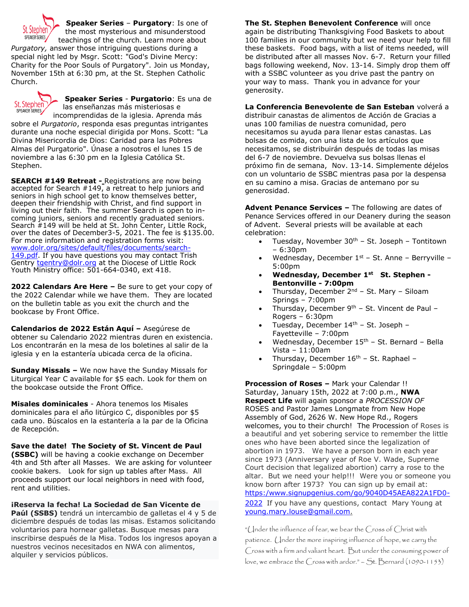

**Speaker Series** – **Purgatory**: Is one of the most mysterious and misunderstood

teachings of the church. Learn more about *Purgatory,* answer those intriguing questions during a special night led by Msgr. Scott: "God's Divine Mercy: Charity for the Poor Souls of Purgatory". Join us Monday, November 15th at 6:30 pm, at the St. Stephen Catholic Church.



**Speaker Series** - **Purgatorio**: Es una de las enseñanzas más misteriosas e incomprendidas de la iglesia. Aprenda más

sobre el *Purgatorio*, responda esas preguntas intrigantes durante una noche especial dirigida por Mons. Scott: "La Divina Misericordia de Dios: Caridad para las Pobres Almas del Purgatorio". Únase a nosotros el lunes 15 de noviembre a las 6:30 pm en la Iglesia Católica St. Stephen.

**SEARCH #149 Retreat -** Registrations are now being accepted for Search  $#149$ , a retreat to help juniors and seniors in high school get to know themselves better, deepen their friendship with Christ, and find support in living out their faith. The summer Search is open to incoming juniors, seniors and recently graduated seniors. Search #149 will be held at St. John Center, Little Rock, over the dates of December3-5, 2021. The fee is \$135.00. For more information and registration forms visit: [www.dolr.org/sites/default/files/documents/search-](http://www.dolr.org/sites/default/files/documents/search-149.pdf)[149.pdf.](http://www.dolr.org/sites/default/files/documents/search-149.pdf) If you have questions you may contact Trish Gentry [tgentry@dolr.org](mailto:tgentry@dolr.org) at the Diocese of Little Rock Youth Ministry office: 501-664-0340, ext 418.

**2022 Calendars Are Here –** Be sure to get your copy of the 2022 Calendar while we have them. They are located on the bulletin table as you exit the church and the bookcase by Front Office.

**Calendarios de 2022 Están Aquí –** Asegúrese de obtener su Calendario 2022 mientras duren en existencia. Los encontrarán en la mesa de los boletines al salir de la iglesia y en la estantería ubicada cerca de la oficina.

**Sunday Missals –** We now have the Sunday Missals for Liturgical Year C available for \$5 each. Look for them on the bookcase outside the Front Office.

**Misales dominicales** - Ahora tenemos los Misales dominicales para el año litúrgico C, disponibles por \$5 cada uno. Búscalos en la estantería a la par de la Oficina de Recepción.

**Save the date! The Society of St. Vincent de Paul (SSBC)** will be having a cookie exchange on December 4th and 5th after all Masses. We are asking for volunteer cookie bakers. Look for sign up tables after Mass. All proceeds support our local neighbors in need with food, rent and utilities.

**¡Reserva la fecha! La Sociedad de San Vicente de Paúl (SSBS)** tendrá un intercambio de galletas el 4 y 5 de diciembre después de todas las misas. Estamos solicitando voluntarios para hornear galletas. Busque mesas para inscribirse después de la Misa. Todos los ingresos apoyan a nuestros vecinos necesitados en NWA con alimentos, alquiler y servicios públicos.

**The St. Stephen Benevolent Conference** will once again be distributing Thanksgiving Food Baskets to about 100 families in our community but we need your help to fill these baskets. Food bags, with a list of items needed, will be distributed after all masses Nov. 6-7. Return your filled bags following weekend, Nov. 13-14. Simply drop them off with a SSBC volunteer as you drive past the pantry on your way to mass. Thank you in advance for your generosity.

**La Conferencia Benevolente de San Esteban** volverá a distribuir canastas de alimentos de Acción de Gracias a unas 100 familias de nuestra comunidad, pero necesitamos su ayuda para llenar estas canastas. Las bolsas de comida, con una lista de los artículos que necesitamos, se distribuirán después de todas las misas del 6-7 de noviembre. Devuelva sus bolsas llenas el próximo fin de semana, Nov. 13-14. Simplemente déjelos con un voluntario de SSBC mientras pasa por la despensa en su camino a misa. Gracias de antemano por su generosidad.

**Advent Penance Services –** The following are dates of Penance Services offered in our Deanery during the season of Advent. Several priests will be available at each celebration:

- Tuesday, November  $30<sup>th</sup>$  St. Joseph Tontitown – 6:30pm
- Wednesday, December  $1^{st}$  St. Anne Berryville 5:00pm
- **Wednesday, December 1st St. Stephen - Bentonville - 7:00pm**
- Thursday, December  $2^{nd}$  St. Mary Siloam Springs – 7:00pm
- Thursday, December  $9<sup>th</sup>$  St. Vincent de Paul Rogers – 6:30pm
- Tuesday, December 14th St. Joseph Fayetteville – 7:00pm
- Wednesday, December  $15<sup>th</sup>$  St. Bernard Bella Vista – 11:00am
- Thursday, December  $16<sup>th</sup>$  St. Raphael Springdale – 5:00pm

**Procession of Roses –** Mark your Calendar !! Saturday, January 15th, 2022 at 7:00 p.m., **NWA Respect Life** will again sponsor a *PROCESSION OF* ROSES and Pastor James Longmate from New Hope Assembly of God, 2626 W. New Hope Rd., Rogers welcomes, you to their church! The Procession of Roses is a beautiful and yet sobering service to remember the little ones who have been aborted since the legalization of abortion in 1973. We have a person born in each year since 1973 (Anniversary year of Roe V. Wade, Supreme Court decision that legalized abortion) carry a rose to the altar. But we need your help!!! Were you or someone you know born after 1973? You can sign up by email at: [https:/www.signupgenius.com/go/9040D45AEA822A1FD0-](https://www.signupgenius.com/go/9040D45AEA822A1FD0-2022) [2022](https://www.signupgenius.com/go/9040D45AEA822A1FD0-2022) If you have any questions, contact Mary Young at [young.mary.louse@gmail.com.](mailto:young.mary.louse@gmail.com)

"Under the influence of fear, we bear the Cross of Christ with patience. Under the more inspiring influence of hope, we carry the Cross with a firm and valiant heart. But under the consuming power of love, we embrace the  $(\csc$  with ardor." – St. Bernard (1090-1153)